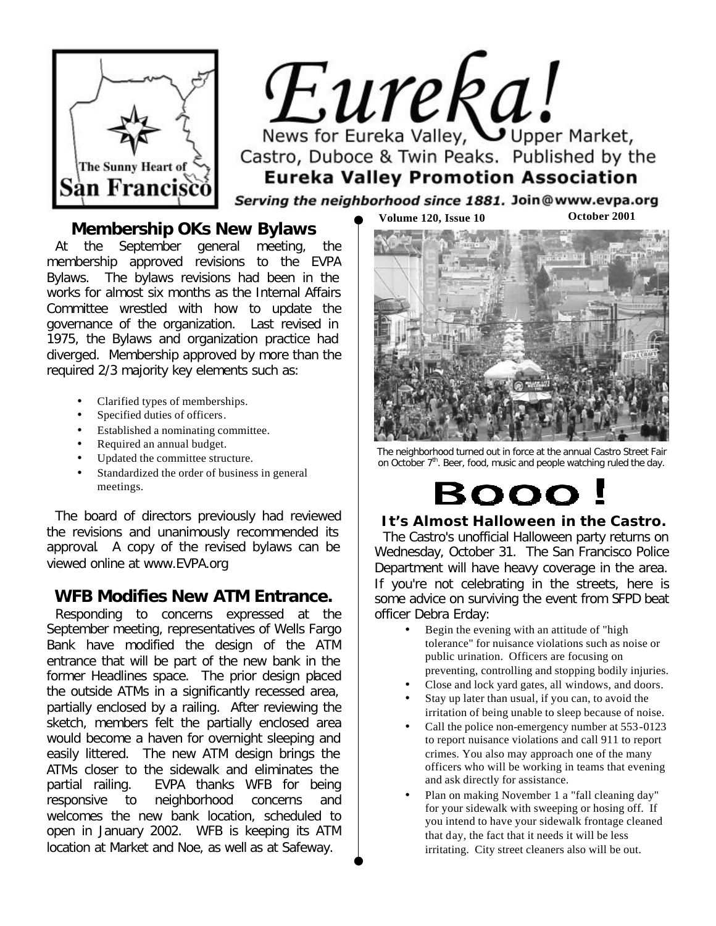

 $Eure$   $I$ Castro, Duboce & Twin Peaks. Published by the **Eureka Valley Promotion Association** 

Serving the neighborhood since 1881. Join@www.evpa.org

### **Membership OKs New Bylaws**

At the September general meeting, the membership approved revisions to the EVPA Bylaws. The bylaws revisions had been in the works for almost six months as the Internal Affairs Committee wrestled with how to update the governance of the organization. Last revised in 1975, the Bylaws and organization practice had diverged. Membership approved by more than the required 2/3 majority key elements such as:

- Clarified types of memberships.
- Specified duties of officers.
- Established a nominating committee.
- Required an annual budget.
- Updated the committee structure.
- Standardized the order of business in general meetings.

The board of directors previously had reviewed the revisions and unanimously recommended its approval. A copy of the revised bylaws can be viewed online at [www.EVPA.org](http://www.evpa.org)

### **WFB Modifies New ATM Entrance.**

Responding to concerns expressed at the September meeting, representatives of Wells Fargo Bank have modified the design of the ATM entrance that will be part of the new bank in the former Headlines space. The prior design placed the outside ATMs in a significantly recessed area, partially enclosed by a railing. After reviewing the sketch, members felt the partially enclosed area would become a haven for overnight sleeping and easily littered. The new ATM design brings the ATMs closer to the sidewalk and eliminates the partial railing. EVPA thanks WFB for being responsive to neighborhood concerns and welcomes the new bank location, scheduled to open in January 2002. WFB is keeping its ATM location at Market and Noe, as well as at Safeway.



The neighborhood turned out in force at the annual Castro Street Fair on October 7<sup>th</sup>. Beer, food, music and people watching ruled the day.

# **BOOO**

### **It's Almost Halloween in the Castro.**

The Castro's unofficial Halloween party returns on Wednesday, October 31. The San Francisco Police Department will have heavy coverage in the area. If you're not celebrating in the streets, here is some advice on surviving the event from SFPD beat officer Debra Erday:

- Begin the evening with an attitude of "high tolerance" for nuisance violations such as noise or public urination. Officers are focusing on preventing, controlling and stopping bodily injuries.
- Close and lock yard gates, all windows, and doors.
- Stay up later than usual, if you can, to avoid the irritation of being unable to sleep because of noise.
- Call the police non-emergency number at 553-0123 to report nuisance violations and call 911 to report crimes. You also may approach one of the many officers who will be working in teams that evening and ask directly for assistance.
- Plan on making November 1 a "fall cleaning day" for your sidewalk with sweeping or hosing off. If you intend to have your sidewalk frontage cleaned that day, the fact that it needs it will be less irritating. City street cleaners also will be out.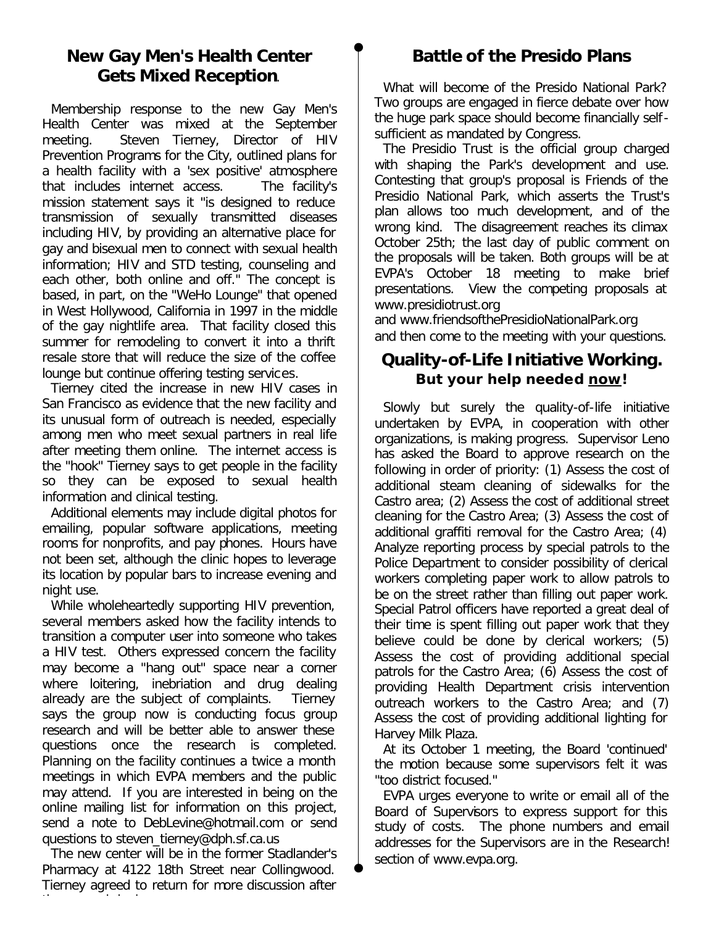### **New Gay Men's Health Center Gets Mixed Reception**.

Membership response to the new Gay Men's Health Center was mixed at the September meeting. Steven Tierney, Director of HIV Prevention Programs for the City, outlined plans for a health facility with a 'sex positive' atmosphere that includes internet access. The facility's mission statement says it "is designed to reduce transmission of sexually transmitted diseases including HIV, by providing an alternative place for gay and bisexual men to connect with sexual health information; HIV and STD testing, counseling and each other, both online and off." The concept is based, in part, on the "WeHo Lounge" that opened in West Hollywood, California in 1997 in the middle of the gay nightlife area. That facility closed this summer for remodeling to convert it into a thrift resale store that will reduce the size of the coffee lounge but continue offering testing services.

Tierney cited the increase in new HIV cases in San Francisco as evidence that the new facility and its unusual form of outreach is needed, especially among men who meet sexual partners in real life after meeting them online. The internet access is the "hook" Tierney says to get people in the facility so they can be exposed to sexual health information and clinical testing.

Additional elements may include digital photos for emailing, popular software applications, meeting rooms for nonprofits, and pay phones. Hours have not been set, although the clinic hopes to leverage its location by popular bars to increase evening and night use.

While wholeheartedly supporting HIV prevention, several members asked how the facility intends to transition a computer user into someone who takes a HIV test. Others expressed concern the facility may become a "hang out" space near a corner where loitering, inebriation and drug dealing already are the subject of complaints. Tierney says the group now is conducting focus group research and will be better able to answer these questions once the research is completed. Planning on the facility continues a twice a month meetings in which EVPA members and the public may attend. If you are interested in being on the online mailing list for information on this project, send a note to [DebLevine@hotmail.com](mailto:DebLevine@hotmail.com) or send questions to [steven\\_tierney@dph.sf.ca.us](mailto:steven_tierney@dph.sf.ca.us)

The new center will be in the former Stadlander's Pharmacy at 4122 18th Street near Collingwood. Tierney agreed to return for more discussion after

## **Battle of the Presido Plans**

What will become of the Presido National Park? Two groups are engaged in fierce debate over how the huge park space should become financially selfsufficient as mandated by Congress.

The Presidio Trust is the official group charged with shaping the Park's development and use. Contesting that group's proposal is Friends of the Presidio National Park, which asserts the Trust's plan allows too much development, and of the wrong kind. The disagreement reaches its climax October 25th; the last day of public comment on the proposals will be taken. Both groups will be at EVPA's October 18 meeting to make brief presentations. View the competing proposals at [www.presidiotrust.org](http://www.presidiotrust.org)

and [www.friendsofthePresidioNationalPark.org](http://www.friendsofthepresidionationalpark.org) and then come to the meeting with your questions.

### **Quality-of-Life Initiative Working. But your help needed now!**

Slowly but surely the quality-of-life initiative undertaken by EVPA, in cooperation with other organizations, is making progress. Supervisor Leno has asked the Board to approve research on the following in order of priority: (1) Assess the cost of additional steam cleaning of sidewalks for the Castro area; (2) Assess the cost of additional street cleaning for the Castro Area; (3) Assess the cost of additional graffiti removal for the Castro Area; (4) Analyze reporting process by special patrols to the Police Department to consider possibility of clerical workers completing paper work to allow patrols to be on the street rather than filling out paper work. Special Patrol officers have reported a great deal of their time is spent filling out paper work that they believe could be done by clerical workers; (5) Assess the cost of providing additional special patrols for the Castro Area; (6) Assess the cost of providing Health Department crisis intervention outreach workers to the Castro Area; and (7) Assess the cost of providing additional lighting for Harvey Milk Plaza.

At its October 1 meeting, the Board 'continued' the motion because some supervisors felt it was "too district focused."

EVPA urges everyone to write or email all of the Board of Supervisors to express support for this study of costs. The phone numbers and email addresses for the Supervisors are in the *Research!* section of www.evpa.org.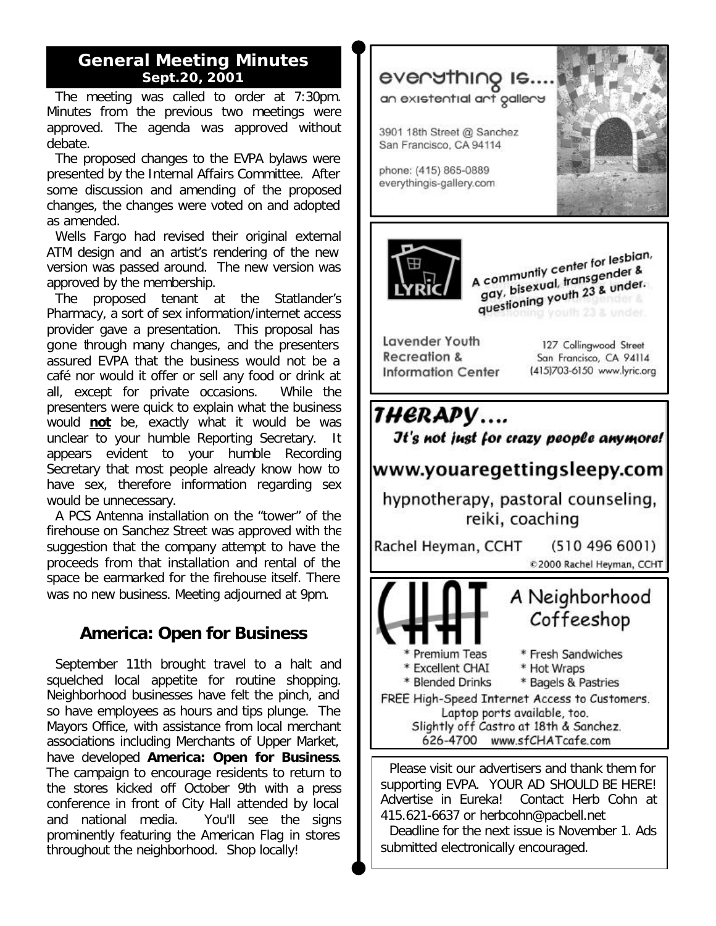### **General Meeting Minutes Sept.20, 2001**

The meeting was called to order at 7:30pm. Minutes from the previous two meetings were approved. The agenda was approved without debate.

The proposed changes to the EVPA bylaws were presented by the Internal Affairs Committee. After some discussion and amending of the proposed changes, the changes were voted on and adopted as amended.

Wells Fargo had revised their original external ATM design and an artist's rendering of the new version was passed around. The new version was approved by the membership.

The proposed tenant at the Statlander's Pharmacy, a sort of sex information/internet access provider gave a presentation. This proposal has gone through many changes, and the presenters assured EVPA that the business would not be a café nor would it offer or sell any food or drink at all, except for private occasions. While the presenters were quick to explain what the business would **not** be, exactly what it would be was unclear to your humble Reporting Secretary. It appears evident to your humble Recording Secretary that most people already know how to have sex, therefore information regarding sex would be unnecessary.

A PCS Antenna installation on the "tower" of the firehouse on Sanchez Street was approved with the suggestion that the company attempt to have the proceeds from that installation and rental of the space be earmarked for the firehouse itself. There was no new business. Meeting adjourned at 9pm.

### **America: Open for Business**

September 11th brought travel to a halt and squelched local appetite for routine shopping. Neighborhood businesses have felt the pinch, and so have employees as hours and tips plunge. The Mayors Office, with assistance from local merchant associations including Merchants of Upper Market, have developed *America: Open for Business*. The campaign to encourage residents to return to the stores kicked off October 9th with a press conference in front of City Hall attended by local and national media. You'll see the signs prominently featuring the American Flag in stores throughout the neighborhood. Shop locally!



supporting EVPA. YOUR AD SHOULD BE HERE! Advertise in *Eureka!* Contact Herb Cohn at 415.621-6637 or [herbcohn@pacbell.net](mailto:herbcohn@pacbell.net)

Deadline for the next issue is November 1. Ads submitted electronically encouraged.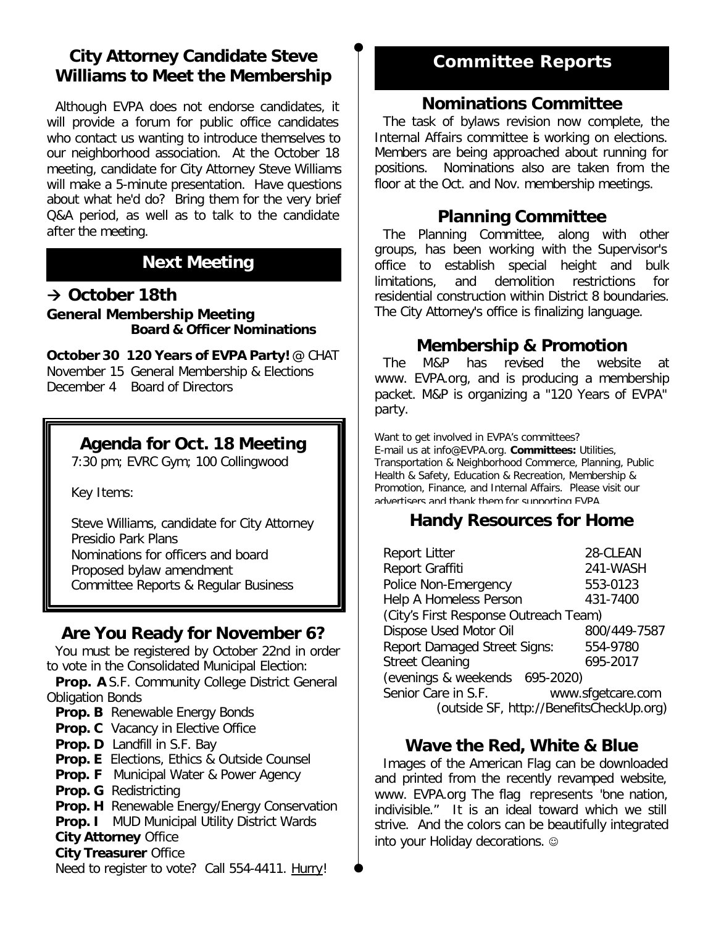### **City Attorney Candidate Steve Williams to Meet the Membership**

Although EVPA does not endorse candidates, it will provide a forum for public office candidates who contact us wanting to introduce themselves to our neighborhood association. At the October 18 meeting, candidate for City Attorney Steve Williams will make a 5-minute presentation. Have questions about what he'd do? Bring them for the very brief Q&A period, as well as to talk to the candidate after the meeting.

# **Next Meeting**

### **‡ October 18th General Membership Meeting Board & Officer Nominations**

**October 30 120 Years of EVPA Party!** @ CHAT November 15 General Membership & Elections *December 4 Board of Directors*

### **Agenda for Oct. 18 Meeting**

7:30 pm; EVRC Gym; 100 Collingwood

Key Items:

Steve Williams, candidate for City Attorney Presidio Park Plans Nominations for officers and board Proposed bylaw amendment Committee Reports & Regular Business

### **Are You Ready for November 6?**

You must be registered by October 22nd in order to vote in the Consolidated Municipal Election:

**Prop. A** S.F. Community College District General Obligation Bonds

- **Prop. B** Renewable Energy Bonds
- **Prop. C** Vacancy in Elective Office
- **Prop. D** Landfill in S.F. Bay

**Prop. E** Elections, Ethics & Outside Counsel

- **Prop. F** Municipal Water & Power Agency
- **Prop. G** Redistricting
- **Prop. H** Renewable Energy/Energy Conservation
- **Prop. I** MUD Municipal Utility District Wards

#### **City Attorney** Office

#### **City Treasurer** Office

Need to register to vote? Call 554-4411. *Hurry*!

# **Committee Reports**

### **Nominations Committee**

The task of bylaws revision now complete, the Internal Affairs committee is working on elections. Members are being approached about running for positions. Nominations also are taken from the floor at the Oct. and Nov. membership meetings.

### **Planning Committee**

The Planning Committee, along with other groups, has been working with the Supervisor's office to establish special height and bulk limitations, and demolition restrictions for residential construction within District 8 boundaries. The City Attorney's office is finalizing language.

### **Membership & Promotion**

The M&P has revised the website at [www. EVPA.org,](http://www.evpa.org) and is producing a membership packet. M&P is organizing a "120 Years of EVPA" party.

Want to get involved in EVPA's committees? E-mail us at [info@EVPA.org.](mailto:info@evpa.org) **Committees:** Utilities, Transportation & Neighborhood Commerce, Planning, Public Health & Safety, Education & Recreation, Membership & Promotion, Finance, and Internal Affairs. Please visit our advertisers and thank them for supporting EVPA.

### **Handy Resources for Home**

| <b>Report Litter</b>                  | 28-CLEAN                                 |
|---------------------------------------|------------------------------------------|
| Report Graffiti                       | 241-WASH                                 |
| Police Non-Emergency                  | 553-0123                                 |
| Help A Homeless Person                | 431-7400                                 |
| (City's First Response Outreach Team) |                                          |
| Dispose Used Motor Oil                | 800/449-7587                             |
| <b>Report Damaged Street Signs:</b>   | 554-9780                                 |
| <b>Street Cleaning</b>                | 695-2017                                 |
| (evenings & weekends 695-2020)        |                                          |
| Senior Care in S.F.                   | www.sfgetcare.com                        |
|                                       | (outside SF, http://BenefitsCheckUp.org) |

### **Wave the Red, White & Blue**

Images of the American Flag can be downloaded and printed from the recently revamped website, www. EVPA.org The flag represents "*one nation, indivisible."* It is an ideal toward which we still strive. And the colors can be beautifully integrated into your Holiday decorations.  $\circledcirc$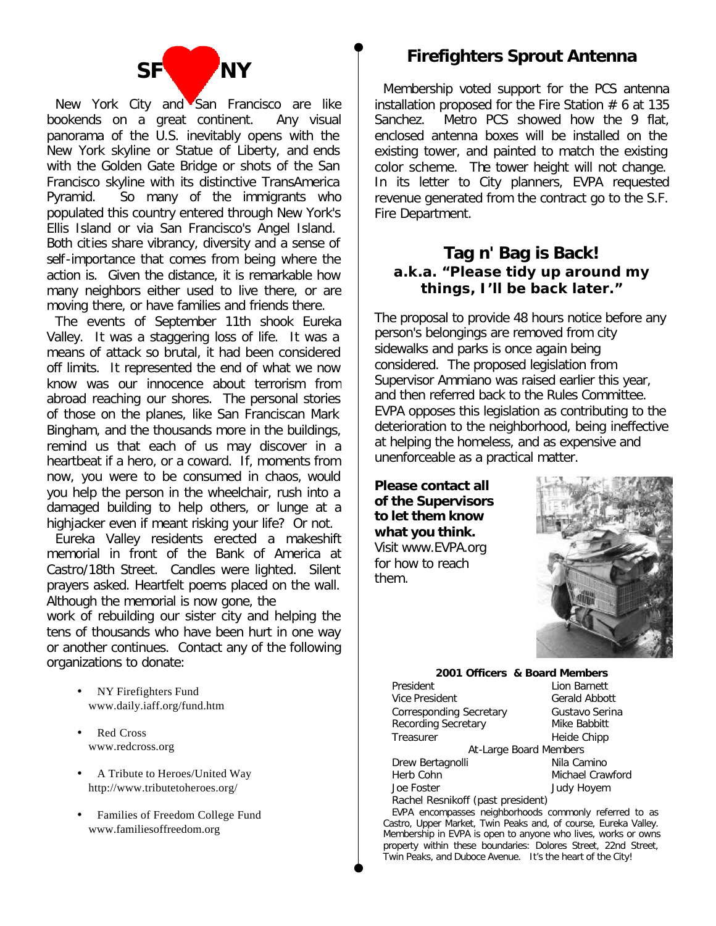

New York City and San Francisco are like bookends on a great continent. Any visual panorama of the U.S. inevitably opens with the New York skyline or Statue of Liberty, and ends with the Golden Gate Bridge or shots of the San Francisco skyline with its distinctive TransAmerica Pyramid. So many of the immigrants who populated this country entered through New York's Ellis Island or via San Francisco's Angel Island. Both cities share vibrancy, diversity and a sense of self-importance that comes from being where the action is. Given the distance, it is remarkable how many neighbors either used to live there, or are moving there, or have families and friends there.

The events of September 11th shook Eureka Valley. It was a staggering loss of life. It was a means of attack so brutal, it had been considered off limits. It represented the end of what we now know was our innocence about terrorism from abroad reaching our shores. The personal stories of those on the planes, like San Franciscan Mark Bingham, and the thousands more in the buildings, remind us that each of us may discover in a heartbeat if a hero, or a coward. If, moments from now, you were to be consumed in chaos, would you help the person in the wheelchair, rush into a damaged building to help others, or lunge at a highjacker even if meant risking your life? Or not.

Eureka Valley residents erected a makeshift memorial in front of the Bank of America at Castro/18th Street. Candles were lighted. Silent prayers asked. Heartfelt poems placed on the wall. Although the memorial is now gone, the

work of rebuilding our sister city and helping the tens of thousands who have been hurt in one way or another continues. Contact any of the following organizations to donate:

- NY Firefighters Fund [www.daily.iaff.org/fund.htm](http://www.daily.iaff.org/fund.htm)
- Red Cross [www.redcross.org](http://www.redcross.org)
- A Tribute to Heroes/United Way <http://www.tributetoheroes.org/>
- Families of Freedom College Fund [www.familiesoffreedom.org](http://www.familiesoffreedom.org)

## **Firefighters Sprout Antenna**

Membership voted support for the PCS antenna installation proposed for the Fire Station  $# 6$  at 135 Sanchez. Metro PCS showed how the 9 flat. enclosed antenna boxes will be installed on the existing tower, and painted to match the existing color scheme. The tower height will not change. In its letter to City planners, EVPA requested revenue generated from the contract go to the S.F. Fire Department.

### **Tag n' Bag is Back! a.k.a. "Please tidy up around my things, I'll be back later."**

The proposal to provide 48 hours notice before any person's belongings are removed from city sidewalks and parks is once again being considered. The proposed legislation from Supervisor Ammiano was raised earlier this year, and then referred back to the Rules Committee. EVPA opposes this legislation as contributing to the deterioration to the neighborhood, being ineffective at helping the homeless, and as expensive and unenforceable as a practical matter.

**Please contact all of the Supervisors to let them know what you think.**  Visit [www.EVPA.org](http://www.evap.org)  for how to reach them.



#### **2001 Officers & Board Members**

| President                         | Lion Barnett      |
|-----------------------------------|-------------------|
| Vice President                    | Gerald Abbott     |
| Corresponding Secretary           | Gustavo Serina    |
| Recording Secretary               | Mike Babbitt      |
| Treasurer                         | Heide Chipp       |
| At-Large Board Members            |                   |
| Drew Bertagnolli                  | Nila Camino       |
| Herb Cohn                         | Michael Crawford  |
| Joe Foster                        | <b>Judy Hoyem</b> |
| Rachel Resnikoff (past president) |                   |

EVPA encompasses neighborhoods commonly referred to as Castro, Upper Market, Twin Peaks and, of course, Eureka Valley. Membership in EVPA is open to anyone who lives, works or owns property within these boundaries: Dolores Street, 22nd Street, Twin Peaks, and Duboce Avenue. It's the heart of the City!